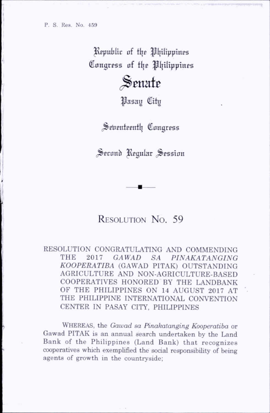Republic of the Philippines Congress of the Philippines

 $\mathbb S$ enate

**Pasay** City

Seventeenth Congress

Second Regular Session

## RESOLUTION NO. 59

RESOLUTION CONGRATULATING AND COMMENDING THE 2017 GAWAD SA PINAKATANGING KOOPERATIBA (GAWAD PITAK) OUTSTANDING AGRICULTURE AND NON-AGRICULTURE-BASED COOPERATIVES HONORED BY THE LANDBANK OF THE PHILIPPINES ON 14 AUGUST 2017 AT THE PHILIPPINE INTERNATIONAL CONVENTION CENTER IN PASAY CITY, PHILIPPINES

WHEREAS, the Gawad sa Pinakatanging Kooperatiba or Gawad PITAK is an annual search undertaken by the Land Bank of the Philippines (Land Bank) that recognizes cooperatives which exemplified the social responsibility of being agents of growth in the countryside;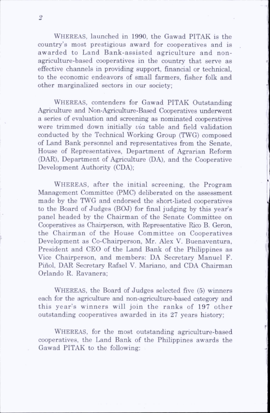$\overline{2}$ 

Whereas, launched in 1990, the Gawad PITAK is the country's most prestigious award for cooperatives and is awarded to Land Bank-assisted agriculture and nonagriculture-based cooperatives in the country that serve as effective channels in providing support, financial or technical, to the economic endeavors of small farmers, fisher folk and other marginalized sectors in our society;

Whereas, contenders for Gawad PITAK Outstanding Agriculture and Non-Agriculture-Based Cooperatives underwent a series of evaluation and screening as nominated cooperatives were trimmed down initially *via* table and field validation conducted by the Technical Working Group (TWG) composed of Land Bank personnel and representatives from the Senate, House of Representatives, Department of Agrarian Reform (DAR), Department of Agriculture (DA), and the Cooperative Development Authority (CDA);

WHEREAS, after the initial screening, the Program Management Committee (PMC) dehberated on the assessment made by the TWG and endorsed the short-listed cooperatives to the Board of Judges (BOJ) for final judging by this year's panel headed by the Chairman of the Senate Committee on Cooperatives as Chairperson, with Representative Rico B. Geron, the Chairman of the House Committee on Cooperatives Development as Co-Chairperson, Mr. Alex V. Buenaventura, President and CEO of the Land Bank of the Philippines as Vice Chairperson, and members; DA Secretary Manuel F. Pinol, DAR Secretary Rafael V. Mariano, and CDA Chairman Orlando R. Ravanera;

WHEREAS, the Board of Judges selected five (5) winners each for the agriculture and non-agriculture-based category and this year's winners will join the ranks of 197 other outstanding cooperatives awarded in its 27 years history;

Whereas, for the most outstanding agriculture-based cooperatives, the Land Bank of the Philippines awards the Gawad PITAK to the following: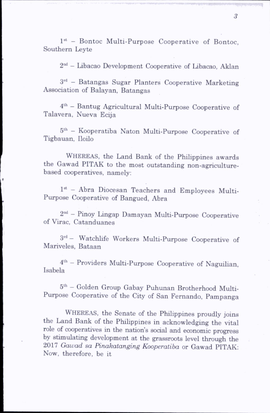1<sup>st</sup> - Bontoc Multi-Purpose Cooperative of Bontoc, Southern Leyte

2nd - Libacao Development Cooperative of Libacao, Aklan

3rd - Batangas Sugar Planters Cooperative Marketing Association of Balayan, Batangas

4th - Bantug Agricultural Multi-Purpose Cooperative of Talavera, Nueva Ecija

5th - Kooperatiba Naton Multi-Purpose Cooperative of Tigbauan, Iloilo

Whereas, the Land Bank of the Philippines awards the Gawad PITAK to the most outstanding non-agriculturebased cooperatives, namely:

1st - Abra Diocesan Teachers and Employees Multi-Purpose Cooperative of Bangued, Abra

2nd - Pinoy Lingap Damayan Multi-Purpose Cooperative of Virac, Catanduanes

3rd — Watchlife Workers Multi-Purpose Cooperative of Mariveles, Bataan

4th — Providers Multi-Purpose Cooperative of Naguilian, Isabela

5th — Golden Group Gabay Puhunan Brotherhood Multi-Purpose Cooperative of the City of San Fernando, Pampanga

Whereas, the Senate of the Philippines proudly joins the Land Bank of the Philippines in acknowledging the vital role of cooperatives in the nation's social and economic progress by stimulating development at the grassroots level through the 2017 Gawad sa Pinakatanging Kooperatiba or Gawad PITAK: Now, therefore, be it